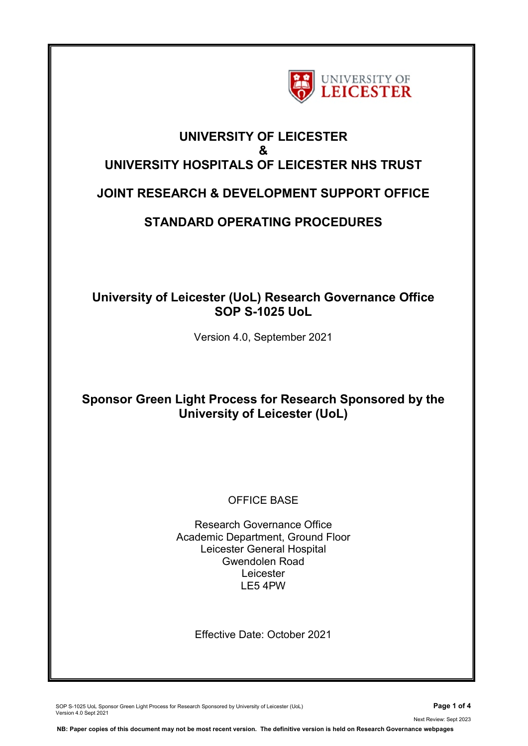

# **UNIVERSITY OF LEICESTER & UNIVERSITY HOSPITALS OF LEICESTER NHS TRUST**

### **JOINT RESEARCH & DEVELOPMENT SUPPORT OFFICE**

## **STANDARD OPERATING PROCEDURES**

### **University of Leicester (UoL) Research Governance Office SOP S-1025 UoL**

Version 4.0, September 2021

### **Sponsor Green Light Process for Research Sponsored by the University of Leicester (UoL)**

### OFFICE BASE

Research Governance Office Academic Department, Ground Floor Leicester General Hospital Gwendolen Road Leicester LE5 4PW

Effective Date: October 2021

SOP S-1025 UoL Sponsor Green Light Process for Research Sponsored by University of Leicester (UoL) **Page 1 of 4** Version 4.0 Sept 2021

Next Review: Sept 2023

**NB: Paper copies of this document may not be most recent version. The definitive version is held on Research Governance webpages**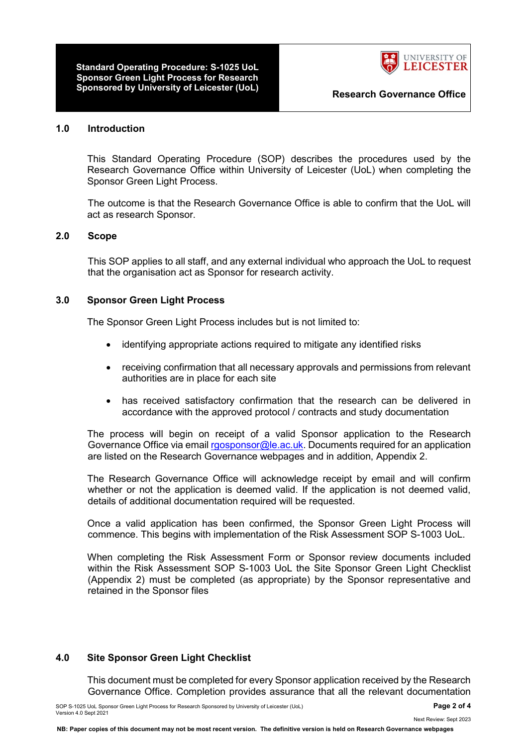**Standard Operating Procedure: S-1025 UoL Sponsor Green Light Process for Research Sponsored by University of Leicester (UoL) Research Governance Office**



#### **1.0 Introduction**

This Standard Operating Procedure (SOP) describes the procedures used by the Research Governance Office within University of Leicester (UoL) when completing the Sponsor Green Light Process.

The outcome is that the Research Governance Office is able to confirm that the UoL will act as research Sponsor.

#### **2.0 Scope**

This SOP applies to all staff, and any external individual who approach the UoL to request that the organisation act as Sponsor for research activity.

#### **3.0 Sponsor Green Light Process**

The Sponsor Green Light Process includes but is not limited to:

- identifying appropriate actions required to mitigate any identified risks
- receiving confirmation that all necessary approvals and permissions from relevant authorities are in place for each site
- has received satisfactory confirmation that the research can be delivered in accordance with the approved protocol / contracts and study documentation

The process will begin on receipt of a valid Sponsor application to the Research Governance Office via email [rgosponsor@le.ac.uk.](mailto:rgosponsor@le.ac.uk) Documents required for an application are listed on the Research Governance webpages and in addition, Appendix 2.

The Research Governance Office will acknowledge receipt by email and will confirm whether or not the application is deemed valid. If the application is not deemed valid, details of additional documentation required will be requested.

Once a valid application has been confirmed, the Sponsor Green Light Process will commence. This begins with implementation of the Risk Assessment SOP S-1003 UoL.

When completing the Risk Assessment Form or Sponsor review documents included within the Risk Assessment SOP S-1003 UoL the Site Sponsor Green Light Checklist (Appendix 2) must be completed (as appropriate) by the Sponsor representative and retained in the Sponsor files

#### **4.0 Site Sponsor Green Light Checklist**

This document must be completed for every Sponsor application received by the Research Governance Office. Completion provides assurance that all the relevant documentation

Next Review: Sept 2023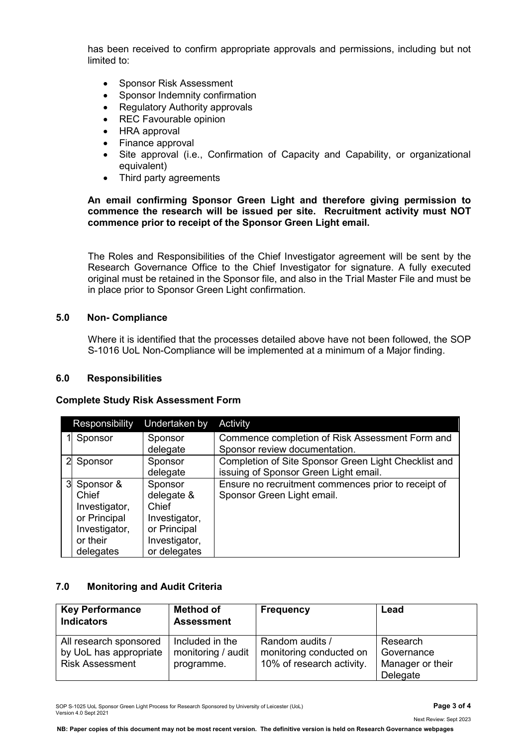has been received to confirm appropriate approvals and permissions, including but not limited to:

- Sponsor Risk Assessment
- Sponsor Indemnity confirmation
- Regulatory Authority approvals
- REC Favourable opinion
- HRA approval
- Finance approval
- Site approval (i.e., Confirmation of Capacity and Capability, or organizational equivalent)
- Third party agreements

**An email confirming Sponsor Green Light and therefore giving permission to commence the research will be issued per site. Recruitment activity must NOT commence prior to receipt of the Sponsor Green Light email.**

The Roles and Responsibilities of the Chief Investigator agreement will be sent by the Research Governance Office to the Chief Investigator for signature. A fully executed original must be retained in the Sponsor file, and also in the Trial Master File and must be in place prior to Sponsor Green Light confirmation.

#### **5.0 Non- Compliance**

Where it is identified that the processes detailed above have not been followed, the SOP S-1016 UoL Non-Compliance will be implemented at a minimum of a Major finding.

#### **6.0 Responsibilities**

#### **Complete Study Risk Assessment Form**

| Responsibility | Undertaken by | Activity                                             |
|----------------|---------------|------------------------------------------------------|
| Sponsor        | Sponsor       | Commence completion of Risk Assessment Form and      |
|                | delegate      | Sponsor review documentation.                        |
| Sponsor        | Sponsor       | Completion of Site Sponsor Green Light Checklist and |
|                | delegate      | issuing of Sponsor Green Light email.                |
| 3 Sponsor &    | Sponsor       | Ensure no recruitment commences prior to receipt of  |
| Chief          | delegate &    | Sponsor Green Light email.                           |
| Investigator,  | Chief         |                                                      |
| or Principal   | Investigator, |                                                      |
| Investigator,  | or Principal  |                                                      |
| or their       | Investigator, |                                                      |
| delegates      | or delegates  |                                                      |

#### **7.0 Monitoring and Audit Criteria**

| <b>Key Performance</b><br><b>Indicators</b>                                | <b>Method of</b><br><b>Assessment</b>               | <b>Frequency</b>                                                        | Lead                                                   |
|----------------------------------------------------------------------------|-----------------------------------------------------|-------------------------------------------------------------------------|--------------------------------------------------------|
| All research sponsored<br>by UoL has appropriate<br><b>Risk Assessment</b> | Included in the<br>monitoring / audit<br>programme. | Random audits /<br>monitoring conducted on<br>10% of research activity. | Research<br>Governance<br>Manager or their<br>Delegate |

SOP S-1025 UoL Sponsor Green Light Process for Research Sponsored by University of Leicester (UoL) **Page 3 of 4** Version 4.0 Sept 2021

**NB: Paper copies of this document may not be most recent version. The definitive version is held on Research Governance webpages**